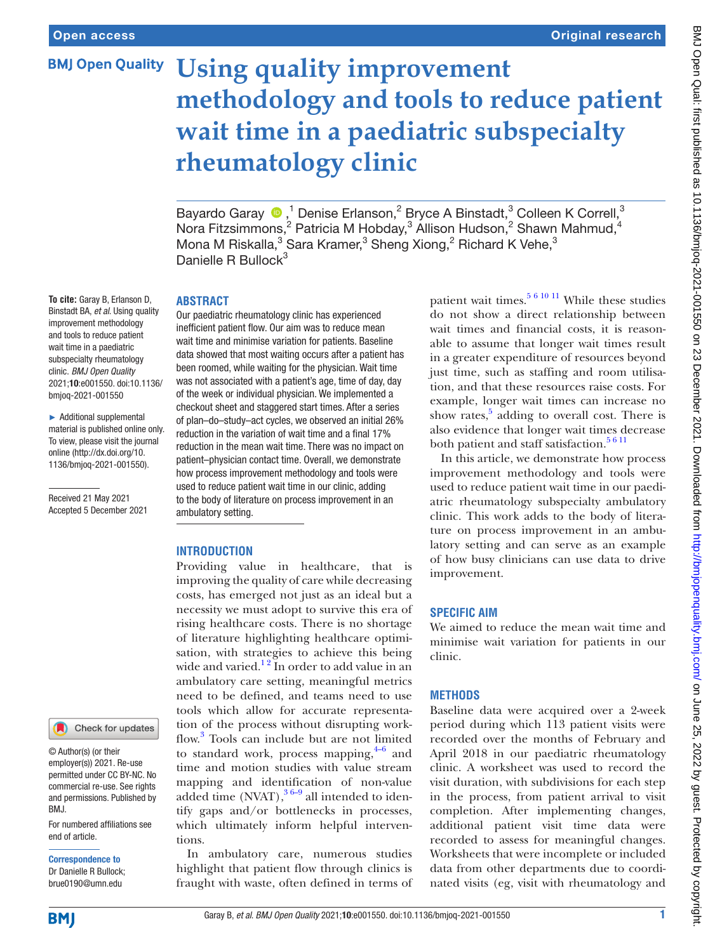# **BMJ Open Quality Using quality improvement methodology and tools to reduce patient wait time in a paediatric subspecialty rheumatology clinic**

BayardoGaray  $\bigcirc$ ,<sup>1</sup> Denise Erlanson,<sup>2</sup> Bryce A Binstadt,<sup>3</sup> Colleen K Correll,<sup>3</sup> Nora Fitzsimmons,<sup>2</sup> Patricia M Hobday,<sup>3</sup> Allison Hudson,<sup>2</sup> Shawn Mahmud,<sup>4</sup> Mona M Riskalla,<sup>3</sup> Sara Kramer,<sup>3</sup> Sheng Xiong,<sup>2</sup> Richard K Vehe,<sup>3</sup> Danielle R Bullock<sup>3</sup>

#### **ABSTRACT**

Our paediatric rheumatology clinic has experienced inefficient patient flow. Our aim was to reduce mean wait time and minimise variation for patients. Baseline data showed that most waiting occurs after a patient has been roomed, while waiting for the physician. Wait time was not associated with a patient's age, time of day, day of the week or individual physician. We implemented a checkout sheet and staggered start times. After a series of plan–do–study–act cycles, we observed an initial 26% reduction in the variation of wait time and a final 17% reduction in the mean wait time. There was no impact on patient–physician contact time. Overall, we demonstrate how process improvement methodology and tools were used to reduce patient wait time in our clinic, adding to the body of literature on process improvement in an ambulatory setting.

## **INTRODUCTION**

Providing value in healthcare, that is improving the quality of care while decreasing costs, has emerged not just as an ideal but a necessity we must adopt to survive this era of rising healthcare costs. There is no shortage of literature highlighting healthcare optimisation, with strategies to achieve this being wide and varied.<sup>12</sup> In order to add value in an ambulatory care setting, meaningful metrics need to be defined, and teams need to use tools which allow for accurate representation of the process without disrupting workflow.[3](#page-5-1) Tools can include but are not limited to standard work, process mapping, $4-6$  and time and motion studies with value stream mapping and identification of non-value added time  $(NVAT)$ ,  $3^{6-9}$  all intended to identify gaps and/or bottlenecks in processes, which ultimately inform helpful interventions.

In ambulatory care, numerous studies highlight that patient flow through clinics is fraught with waste, often defined in terms of

patient wait times.<sup>[5 6 10 11](#page-5-3)</sup> While these studies do not show a direct relationship between wait times and financial costs, it is reasonable to assume that longer wait times result in a greater expenditure of resources beyond just time, such as staffing and room utilisation, and that these resources raise costs. For example, longer wait times can increase no show rates, $5$  adding to overall cost. There is also evidence that longer wait times decrease both patient and staff satisfaction.<sup>5 6 11</sup>

In this article, we demonstrate how process improvement methodology and tools were used to reduce patient wait time in our paediatric rheumatology subspecialty ambulatory clinic. This work adds to the body of literature on process improvement in an ambulatory setting and can serve as an example of how busy clinicians can use data to drive improvement.

## **SPECIFIC AIM**

We aimed to reduce the mean wait time and minimise wait variation for patients in our clinic.

# **METHODS**

Baseline data were acquired over a 2-week period during which 113 patient visits were recorded over the months of February and April 2018 in our paediatric rheumatology clinic. A worksheet was used to record the visit duration, with subdivisions for each step in the process, from patient arrival to visit completion. After implementing changes, additional patient visit time data were recorded to assess for meaningful changes. Worksheets that were incomplete or included data from other departments due to coordinated visits (eg, visit with rheumatology and

**To cite:** Garay B, Erlanson D, Binstadt BA, *et al*. Using quality improvement methodology and tools to reduce patient wait time in a paediatric subspecialty rheumatology clinic. *BMJ Open Quality* 2021;10:e001550. doi:10.1136/ bmjoq-2021-001550

► Additional supplemental material is published online only. To view, please visit the journal online [\(http://dx.doi.org/10.](http://dx.doi.org/10.1136/bmjoq-2021-001550) [1136/bmjoq-2021-001550](http://dx.doi.org/10.1136/bmjoq-2021-001550)).

Received 21 May 2021 Accepted 5 December 2021



© Author(s) (or their employer(s)) 2021. Re-use permitted under CC BY-NC. No commercial re-use. See rights and permissions. Published by BMJ.

For numbered affiliations see end of article.

Correspondence to Dr Danielle R Bullock; brue0190@umn.edu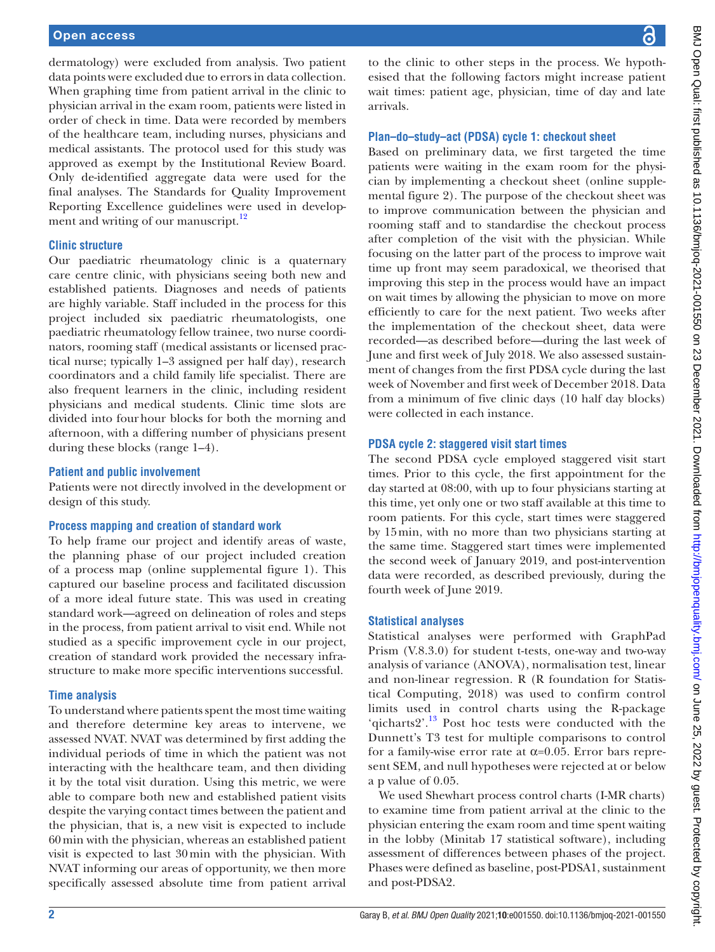## Open access

dermatology) were excluded from analysis. Two patient data points were excluded due to errors in data collection. When graphing time from patient arrival in the clinic to physician arrival in the exam room, patients were listed in order of check in time. Data were recorded by members of the healthcare team, including nurses, physicians and medical assistants. The protocol used for this study was approved as exempt by the Institutional Review Board. Only de-identified aggregate data were used for the final analyses. The Standards for Quality Improvement Reporting Excellence guidelines were used in development and writing of our manuscript.<sup>12</sup>

#### **Clinic structure**

Our paediatric rheumatology clinic is a quaternary care centre clinic, with physicians seeing both new and established patients. Diagnoses and needs of patients are highly variable. Staff included in the process for this project included six paediatric rheumatologists, one paediatric rheumatology fellow trainee, two nurse coordinators, rooming staff (medical assistants or licensed practical nurse; typically 1–3 assigned per half day), research coordinators and a child family life specialist. There are also frequent learners in the clinic, including resident physicians and medical students. Clinic time slots are divided into fourhour blocks for both the morning and afternoon, with a differing number of physicians present during these blocks (range 1–4).

#### **Patient and public involvement**

Patients were not directly involved in the development or design of this study.

### **Process mapping and creation of standard work**

To help frame our project and identify areas of waste, the planning phase of our project included creation of a process map ([online supplemental figure 1](https://dx.doi.org/10.1136/bmjoq-2021-001550)). This captured our baseline process and facilitated discussion of a more ideal future state. This was used in creating standard work—agreed on delineation of roles and steps in the process, from patient arrival to visit end. While not studied as a specific improvement cycle in our project, creation of standard work provided the necessary infrastructure to make more specific interventions successful.

#### **Time analysis**

To understand where patients spent the most time waiting and therefore determine key areas to intervene, we assessed NVAT. NVAT was determined by first adding the individual periods of time in which the patient was not interacting with the healthcare team, and then dividing it by the total visit duration. Using this metric, we were able to compare both new and established patient visits despite the varying contact times between the patient and the physician, that is, a new visit is expected to include 60min with the physician, whereas an established patient visit is expected to last 30min with the physician. With NVAT informing our areas of opportunity, we then more specifically assessed absolute time from patient arrival

to the clinic to other steps in the process. We hypothesised that the following factors might increase patient wait times: patient age, physician, time of day and late arrivals.

#### **Plan–do–study–act (PDSA) cycle 1: checkout sheet**

Based on preliminary data, we first targeted the time patients were waiting in the exam room for the physician by implementing a checkout sheet ([online supple](https://dx.doi.org/10.1136/bmjoq-2021-001550)[mental figure 2](https://dx.doi.org/10.1136/bmjoq-2021-001550)). The purpose of the checkout sheet was to improve communication between the physician and rooming staff and to standardise the checkout process after completion of the visit with the physician. While focusing on the latter part of the process to improve wait time up front may seem paradoxical, we theorised that improving this step in the process would have an impact on wait times by allowing the physician to move on more efficiently to care for the next patient. Two weeks after the implementation of the checkout sheet, data were recorded—as described before—during the last week of June and first week of July 2018. We also assessed sustainment of changes from the first PDSA cycle during the last week of November and first week of December 2018. Data from a minimum of five clinic days (10 half day blocks) were collected in each instance.

#### **PDSA cycle 2: staggered visit start times**

The second PDSA cycle employed staggered visit start times. Prior to this cycle, the first appointment for the day started at 08:00, with up to four physicians starting at this time, yet only one or two staff available at this time to room patients. For this cycle, start times were staggered by 15min, with no more than two physicians starting at the same time. Staggered start times were implemented the second week of January 2019, and post-intervention data were recorded, as described previously, during the fourth week of June 2019.

### **Statistical analyses**

Statistical analyses were performed with GraphPad Prism (V.8.3.0) for student t-tests, one-way and two-way analysis of variance (ANOVA), normalisation test, linear and non-linear regression. R (R foundation for Statistical Computing, 2018) was used to confirm control limits used in control charts using the R-package 'qicharts2'.<sup>[13](#page-5-5)</sup> Post hoc tests were conducted with the Dunnett's T3 test for multiple comparisons to control for a family-wise error rate at  $α=0.05$ . Error bars represent SEM, and null hypotheses were rejected at or below a p value of 0.05.

We used Shewhart process control charts (I-MR charts) to examine time from patient arrival at the clinic to the physician entering the exam room and time spent waiting in the lobby (Minitab 17 statistical software), including assessment of differences between phases of the project. Phases were defined as baseline, post-PDSA1, sustainment and post-PDSA2.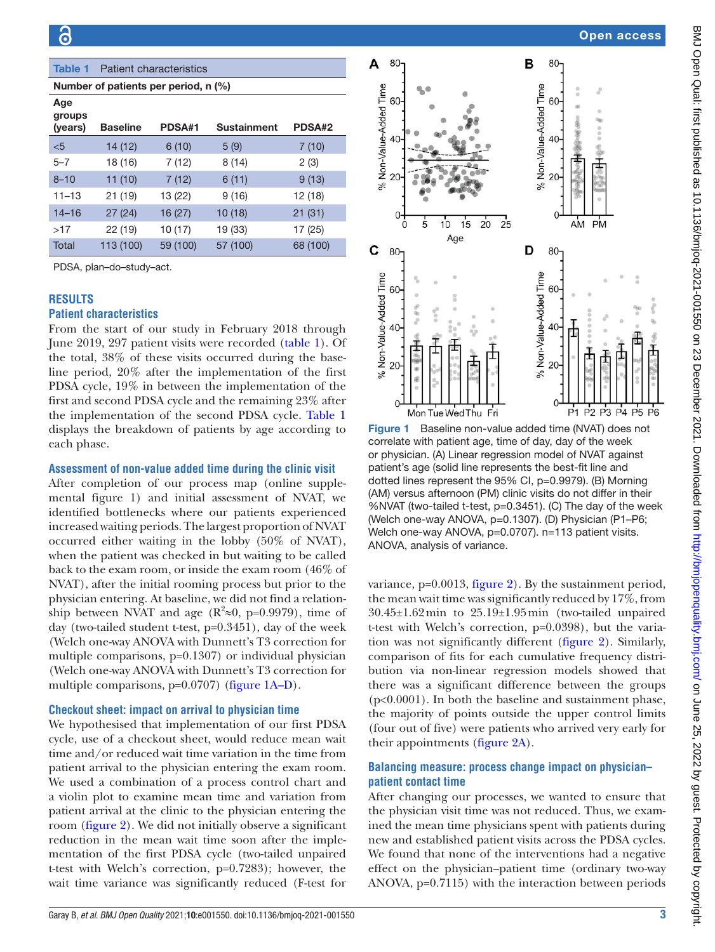<span id="page-2-0"></span>

| Age<br>groups |                 |          |                    |          |
|---------------|-----------------|----------|--------------------|----------|
| (years)       | <b>Baseline</b> | PDSA#1   | <b>Sustainment</b> | PDSA#2   |
| < 5           | 14 (12)         | 6(10)    | 5(9)               | 7(10)    |
| $5 - 7$       | 18 (16)         | 7(12)    | 8(14)              | 2(3)     |
| $8 - 10$      | 11(10)          | 7(12)    | 6(11)              | 9(13)    |
| $11 - 13$     | 21 (19)         | 13 (22)  | 9(16)              | 12 (18)  |
| $14 - 16$     | 27(24)          | 16(27)   | 10(18)             | 21(31)   |
| >17           | 22 (19)         | 10 (17)  | 19 (33)            | 17 (25)  |
| Total         | 113 (100)       | 59 (100) | 57 (100)           | 68 (100) |

# **RESULTS**

## **Patient characteristics**

From the start of our study in February 2018 through June 2019, 297 patient visits were recorded [\(table](#page-2-0) 1). Of the total, 38% of these visits occurred during the baseline period, 20% after the implementation of the first PDSA cycle, 19% in between the implementation of the first and second PDSA cycle and the remaining 23% after the implementation of the second PDSA cycle. [Table](#page-2-0) 1 displays the breakdown of patients by age according to each phase.

#### **Assessment of non-value added time during the clinic visit**

After completion of our process map ([online supple](https://dx.doi.org/10.1136/bmjoq-2021-001550)[mental figure 1](https://dx.doi.org/10.1136/bmjoq-2021-001550)) and initial assessment of NVAT, we identified bottlenecks where our patients experienced increased waiting periods. The largest proportion of NVAT occurred either waiting in the lobby (50% of NVAT), when the patient was checked in but waiting to be called back to the exam room, or inside the exam room (46% of NVAT), after the initial rooming process but prior to the physician entering. At baseline, we did not find a relationship between NVAT and age ( $\mathbb{R}^2 \approx 0$ , p=0.9979), time of day (two-tailed student t-test, p=0.3451), day of the week (Welch one-way ANOVA with Dunnett's T3 correction for multiple comparisons, p=0.1307) or individual physician (Welch one-way ANOVA with Dunnett's T3 correction for multiple comparisons, p=0.0707) [\(figure](#page-2-1) 1A–D).

## **Checkout sheet: impact on arrival to physician time**

We hypothesised that implementation of our first PDSA cycle, use of a checkout sheet, would reduce mean wait time and/or reduced wait time variation in the time from patient arrival to the physician entering the exam room. We used a combination of a process control chart and a violin plot to examine mean time and variation from patient arrival at the clinic to the physician entering the room [\(figure](#page-3-0) 2). We did not initially observe a significant reduction in the mean wait time soon after the implementation of the first PDSA cycle (two-tailed unpaired t-test with Welch's correction, p=0.7283); however, the wait time variance was significantly reduced (F-test for



<span id="page-2-1"></span>**Figure 1** Baseline non-value added time (NVAT) does not correlate with patient age, time of day, day of the week or physician. (A) Linear regression model of NVAT against patient's age (solid line represents the best-fit line and dotted lines represent the 95% CI, p=0.9979). (B) Morning (AM) versus afternoon (PM) clinic visits do not differ in their %NVAT (two-tailed t-test, p=0.3451). (C) The day of the week (Welch one-way ANOVA, p=0.1307). (D) Physician (P1–P6; Welch one-way ANOVA, p=0.0707). n=113 patient visits. ANOVA, analysis of variance.

variance, p=0.0013, [figure](#page-3-0) 2). By the sustainment period, the mean wait time was significantly reduced by 17%, from 30.45±1.62min to 25.19±1.95min (two-tailed unpaired t-test with Welch's correction, p=0.0398), but the variation was not significantly different ([figure](#page-3-0) 2). Similarly, comparison of fits for each cumulative frequency distribution via non-linear regression models showed that there was a significant difference between the groups (p<0.0001). In both the baseline and sustainment phase, the majority of points outside the upper control limits (four out of five) were patients who arrived very early for their appointments ([figure](#page-3-0) 2A).

## **Balancing measure: process change impact on physician– patient contact time**

After changing our processes, we wanted to ensure that the physician visit time was not reduced. Thus, we examined the mean time physicians spent with patients during new and established patient visits across the PDSA cycles. We found that none of the interventions had a negative effect on the physician–patient time (ordinary two-way ANOVA, p=0.7115) with the interaction between periods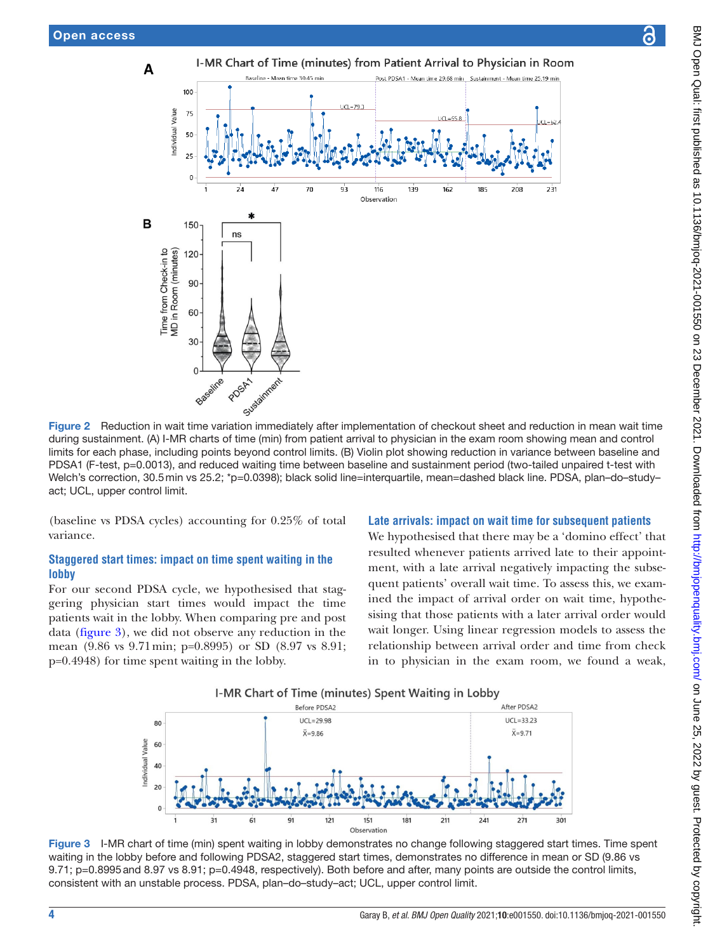

during sustainment. (A) I-MR charts of time (min) from patient arrival to physician in the exam room showing mean and control limits for each phase, including points beyond control limits. (B) Violin plot showing reduction in variance between baseline and PDSA1 (F-test, p=0.0013), and reduced waiting time between baseline and sustainment period (two-tailed unpaired t-test with Welch's correction, 30.5min vs 25.2; \*p=0.0398); black solid line=interquartile, mean=dashed black line. PDSA, plan-do-studyact; UCL, upper control limit.

(baseline vs PDSA cycles) accounting for 0.25% of total variance.

# **Staggered start times: impact on time spent waiting in the lobby**

For our second PDSA cycle, we hypothesised that staggering physician start times would impact the time patients wait in the lobby. When comparing pre and post data ([figure](#page-3-1) 3), we did not observe any reduction in the mean (9.86 vs 9.71min; p=0.8995) or SD (8.97 vs 8.91; p=0.4948) for time spent waiting in the lobby.

## <span id="page-3-0"></span>**Late arrivals: impact on wait time for subsequent patients**

We hypothesised that there may be a 'domino effect' that resulted whenever patients arrived late to their appointment, with a late arrival negatively impacting the subsequent patients' overall wait time. To assess this, we examined the impact of arrival order on wait time, hypothesising that those patients with a later arrival order would wait longer. Using linear regression models to assess the relationship between arrival order and time from check in to physician in the exam room, we found a weak,

<span id="page-3-1"></span>

Figure 3 I-MR chart of time (min) spent waiting in lobby demonstrates no change following staggered start times. Time spent waiting in the lobby before and following PDSA2, staggered start times, demonstrates no difference in mean or SD (9.86 vs 9.71; p=0.8995 and 8.97 vs 8.91; p=0.4948, respectively). Both before and after, many points are outside the control limits, consistent with an unstable process. PDSA, plan–do–study–act; UCL, upper control limit.

෬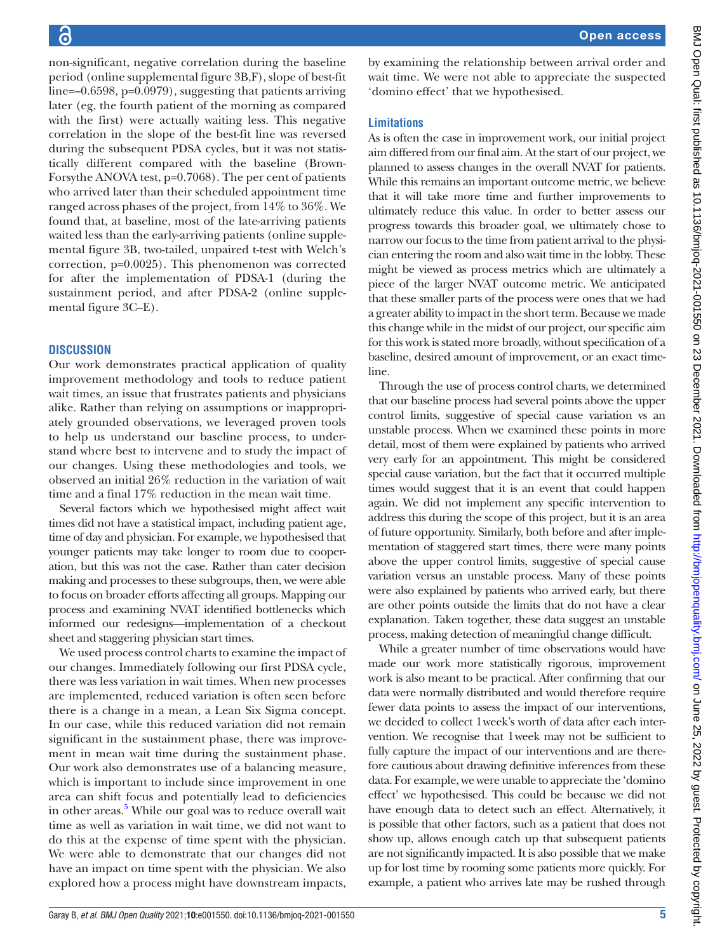BMJ Open Qual: first published as 10.1136/bmjoq-2021-001550 on 23 December 2021. Downloaded from http://bmjopenquality.bmj.com/ on June 25, 2022 by guest. Protected by copyright BMJ Open Qual: first published as 10.1136/bmjoq-2021-001550 on 23 December 2021. Downloaded from <http://bmjopenquality.bmj.com/> on June 25, 2022 by guest. Protected by copyright.

non-significant, negative correlation during the baseline period ([online supplemental figure 3B,F\)](https://dx.doi.org/10.1136/bmjoq-2021-001550), slope of best-fit line=–0.6598, p=0.0979), suggesting that patients arriving later (eg, the fourth patient of the morning as compared with the first) were actually waiting less. This negative correlation in the slope of the best-fit line was reversed during the subsequent PDSA cycles, but it was not statistically different compared with the baseline (Brown-Forsythe ANOVA test, p=0.7068). The per cent of patients who arrived later than their scheduled appointment time ranged across phases of the project, from 14% to 36%. We found that, at baseline, most of the late-arriving patients waited less than the early-arriving patients ([online supple](https://dx.doi.org/10.1136/bmjoq-2021-001550)[mental figure 3B](https://dx.doi.org/10.1136/bmjoq-2021-001550), two-tailed, unpaired t-test with Welch's correction, p=0.0025). This phenomenon was corrected for after the implementation of PDSA-1 (during the sustainment period, and after PDSA-2 ([online supple](https://dx.doi.org/10.1136/bmjoq-2021-001550)[mental figure 3C–E](https://dx.doi.org/10.1136/bmjoq-2021-001550)).

# **DISCUSSION**

Our work demonstrates practical application of quality improvement methodology and tools to reduce patient wait times, an issue that frustrates patients and physicians alike. Rather than relying on assumptions or inappropriately grounded observations, we leveraged proven tools to help us understand our baseline process, to understand where best to intervene and to study the impact of our changes. Using these methodologies and tools, we observed an initial 26% reduction in the variation of wait time and a final 17% reduction in the mean wait time.

Several factors which we hypothesised might affect wait times did not have a statistical impact, including patient age, time of day and physician. For example, we hypothesised that younger patients may take longer to room due to cooperation, but this was not the case. Rather than cater decision making and processes to these subgroups, then, we were able to focus on broader efforts affecting all groups. Mapping our process and examining NVAT identified bottlenecks which informed our redesigns—implementation of a checkout sheet and staggering physician start times.

We used process control charts to examine the impact of our changes. Immediately following our first PDSA cycle, there was less variation in wait times. When new processes are implemented, reduced variation is often seen before there is a change in a mean, a Lean Six Sigma concept. In our case, while this reduced variation did not remain significant in the sustainment phase, there was improvement in mean wait time during the sustainment phase. Our work also demonstrates use of a balancing measure, which is important to include since improvement in one area can shift focus and potentially lead to deficiencies in other areas.<sup>[5](#page-5-3)</sup> While our goal was to reduce overall wait time as well as variation in wait time, we did not want to do this at the expense of time spent with the physician. We were able to demonstrate that our changes did not have an impact on time spent with the physician. We also explored how a process might have downstream impacts,

by examining the relationship between arrival order and wait time. We were not able to appreciate the suspected 'domino effect' that we hypothesised.

# **Limitations**

As is often the case in improvement work, our initial project aim differed from our final aim. At the start of our project, we planned to assess changes in the overall NVAT for patients. While this remains an important outcome metric, we believe that it will take more time and further improvements to ultimately reduce this value. In order to better assess our progress towards this broader goal, we ultimately chose to narrow our focus to the time from patient arrival to the physician entering the room and also wait time in the lobby. These might be viewed as process metrics which are ultimately a piece of the larger NVAT outcome metric. We anticipated that these smaller parts of the process were ones that we had a greater ability to impact in the short term. Because we made this change while in the midst of our project, our specific aim for this work is stated more broadly, without specification of a baseline, desired amount of improvement, or an exact timeline.

Through the use of process control charts, we determined that our baseline process had several points above the upper control limits, suggestive of special cause variation vs an unstable process. When we examined these points in more detail, most of them were explained by patients who arrived very early for an appointment. This might be considered special cause variation, but the fact that it occurred multiple times would suggest that it is an event that could happen again. We did not implement any specific intervention to address this during the scope of this project, but it is an area of future opportunity. Similarly, both before and after implementation of staggered start times, there were many points above the upper control limits, suggestive of special cause variation versus an unstable process. Many of these points were also explained by patients who arrived early, but there are other points outside the limits that do not have a clear explanation. Taken together, these data suggest an unstable process, making detection of meaningful change difficult.

While a greater number of time observations would have made our work more statistically rigorous, improvement work is also meant to be practical. After confirming that our data were normally distributed and would therefore require fewer data points to assess the impact of our interventions, we decided to collect 1week's worth of data after each intervention. We recognise that 1week may not be sufficient to fully capture the impact of our interventions and are therefore cautious about drawing definitive inferences from these data. For example, we were unable to appreciate the 'domino effect' we hypothesised. This could be because we did not have enough data to detect such an effect. Alternatively, it is possible that other factors, such as a patient that does not show up, allows enough catch up that subsequent patients are not significantly impacted. It is also possible that we make up for lost time by rooming some patients more quickly. For example, a patient who arrives late may be rushed through